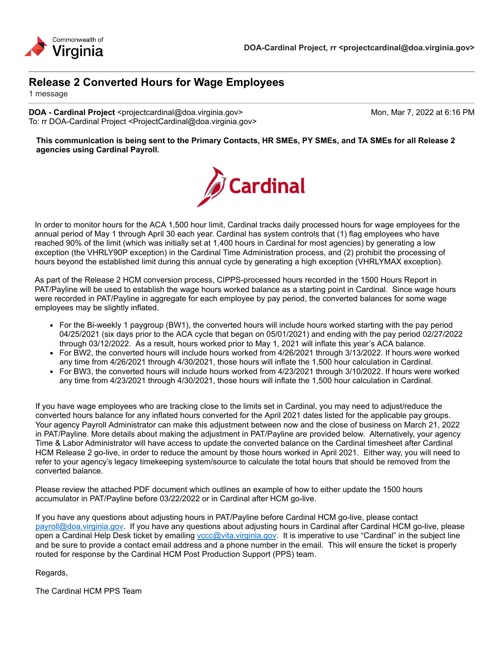



1 message

**DOA - Cardinal Project** <projectcardinal@doa.virginia.gov> Mon, Mar 7, 2022 at 6:16 PM To: rr DOA-Cardinal Project <ProjectCardinal@doa.virginia.gov>

**This communication is being sent to the Primary Contacts, HR SMEs, PY SMEs, and TA SMEs for all Release 2 agencies using Cardinal Payroll.**



In order to monitor hours for the ACA 1,500 hour limit, Cardinal tracks daily processed hours for wage employees for the annual period of May 1 through April 30 each year. Cardinal has system controls that (1) flag employees who have reached 90% of the limit (which was initially set at 1,400 hours in Cardinal for most agencies) by generating a low exception (the VHRLY90P exception) in the Cardinal Time Administration process, and (2) prohibit the processing of hours beyond the established limit during this annual cycle by generating a high exception (VHRLYMAX exception).

As part of the Release 2 HCM conversion process, CIPPS-processed hours recorded in the 1500 Hours Report in PAT/Payline will be used to establish the wage hours worked balance as a starting point in Cardinal. Since wage hours were recorded in PAT/Payline in aggregate for each employee by pay period, the converted balances for some wage employees may be slightly inflated.

- For the Bi-weekly 1 paygroup (BW1), the converted hours will include hours worked starting with the pay period 04/25/2021 (six days prior to the ACA cycle that began on 05/01/2021) and ending with the pay period 02/27/2022 through 03/12/2022. As a result, hours worked prior to May 1, 2021 will inflate this year's ACA balance.
- For BW2, the converted hours will include hours worked from 4/26/2021 through 3/13/2022. If hours were worked any time from 4/26/2021 through 4/30/2021, those hours will inflate the 1,500 hour calculation in Cardinal.
- For BW3, the converted hours will include hours worked from 4/23/2021 through 3/10/2022. If hours were worked any time from 4/23/2021 through 4/30/2021, those hours will inflate the 1,500 hour calculation in Cardinal.

If you have wage employees who are tracking close to the limits set in Cardinal, you may need to adjust/reduce the converted hours balance for any inflated hours converted for the April 2021 dates listed for the applicable pay groups. Your agency Payroll Administrator can make this adjustment between now and the close of business on March 21, 2022 in PAT/Payline. More details about making the adjustment in PAT/Payline are provided below. Alternatively, your agency Time & Labor Administrator will have access to update the converted balance on the Cardinal timesheet after Cardinal HCM Release 2 go-live, in order to reduce the amount by those hours worked in April 2021. Either way, you will need to refer to your agency's legacy timekeeping system/source to calculate the total hours that should be removed from the converted balance.

Please review the attached PDF document which outlines an example of how to either update the 1500 hours accumulator in PAT/Payline before 03/22/2022 or in Cardinal after HCM go-live.

If you have any questions about adjusting hours in PAT/Payline before Cardinal HCM go-live, please contact payroll@doa.virginia.gov. If you have any questions about adjusting hours in Cardinal after Cardinal HCM go-live, please open a Cardinal Help Desk ticket by emailing vccc@vita.virginia.gov. It is imperative to use "Cardinal" in the subject line and be sure to provide a contact email address and a phone number in the email. This will ensure the ticket is properly routed for response by the Cardinal HCM Post Production Support (PPS) team.

Regards,

The Cardinal HCM PPS Team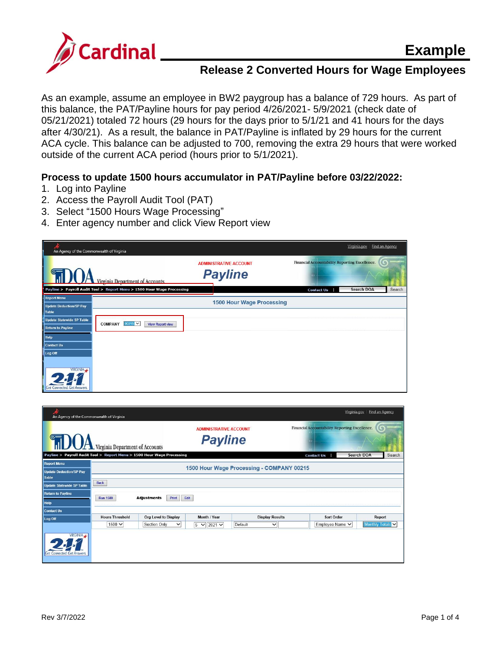

As an example, assume an employee in BW2 paygroup has a balance of 729 hours. As part of this balance, the PAT/Payline hours for pay period 4/26/2021- 5/9/2021 (check date of 05/21/2021) totaled 72 hours (29 hours for the days prior to 5/1/21 and 41 hours for the days after 4/30/21). As a result, the balance in PAT/Payline is inflated by 29 hours for the current ACA cycle. This balance can be adjusted to 700, removing the extra 29 hours that were worked outside of the current ACA period (hours prior to 5/1/2021).

#### **Process to update 1500 hours accumulator in PAT/Payline before 03/22/2022:**

- 1. Log into Payline
- 2. Access the Payroll Audit Tool (PAT)
- 3. Select "1500 Hours Wage Processing"
- 4. Enter agency number and click View Report view

| An Agency of the Commonwealth of Virginia                     |                                                                        |                                                 |                                                 | Virginia.gov      | Find an Agency |
|---------------------------------------------------------------|------------------------------------------------------------------------|-------------------------------------------------|-------------------------------------------------|-------------------|----------------|
|                                                               | Virginia Denartment of Accounts                                        | <b>ADMINISTRATIVE ACCOUNT</b><br><b>Payline</b> | Financial Accountability. Reporting Excellence. |                   | G              |
|                                                               | Payline > Payroll Audit Tool > Report Menu > 1500 Hour Wage Processing |                                                 | <b>Contact Us</b>                               | <b>Search DOA</b> | Search         |
| <b>Report Menu</b><br><b>Update Deduction/SP Pay</b><br>Table |                                                                        | 1500 Hour Wage Processing                       |                                                 |                   |                |
| <b>Update Statewide SP Table</b><br><b>Return to Payline</b>  | $00215$ $\vee$<br><b>COMPANY</b><br><b>View Report view</b>            |                                                 |                                                 |                   |                |
| <b>Help</b><br>Contact Us                                     |                                                                        |                                                 |                                                 |                   |                |
| Log Off<br>VIRGINIA /                                         |                                                                        |                                                 |                                                 |                   |                |
| Connected, Get Answers.                                       |                                                                        |                                                 |                                                 |                   |                |

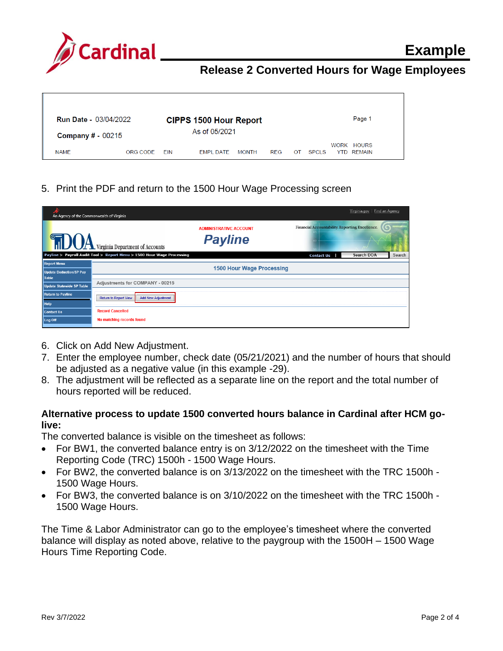

| <b>Run Date - 03/04/2022</b> | <b>CIPPS 1500 Hour Report</b> |     |                  |              | Page 1     |    |              |  |            |  |
|------------------------------|-------------------------------|-----|------------------|--------------|------------|----|--------------|--|------------|--|
| <b>Company # - 00215</b>     |                               |     | As of 05/2021    |              |            |    |              |  |            |  |
|                              |                               |     |                  |              |            |    |              |  | WORK HOURS |  |
| <b>NAME</b>                  | ORG CODE                      | FIN | <b>FMPL DATE</b> | <b>MONTH</b> | <b>REG</b> | OT | <b>SPCLS</b> |  | YTD REMAIN |  |

5. Print the PDF and return to the 1500 Hour Wage Processing screen

| An Agency of the Commonwealth of Virginia |                                                                        |                                                 |                                                 | Virginia.gov<br>Find an Agency |        |
|-------------------------------------------|------------------------------------------------------------------------|-------------------------------------------------|-------------------------------------------------|--------------------------------|--------|
|                                           | <b>ALLA</b> Virginia Department of Accounts                            | <b>ADMINISTRATIVE ACCOUNT</b><br><b>Payline</b> | Financial Accountability. Reporting Excellence. |                                |        |
|                                           | Payline > Payroll Audit Tool > Report Menu > 1500 Hour Wage Processing |                                                 | <b>Contact Us</b>                               | Search DOA                     | Search |
| <b>Report Menu</b>                        |                                                                        | <b>1500 Hour Wage Processing</b>                |                                                 |                                |        |
| <b>Update Deduction/SP Pay</b><br>Table   |                                                                        |                                                 |                                                 |                                |        |
| <b>Update Statewide SP Table</b>          | Adjustments for COMPANY - 00215                                        |                                                 |                                                 |                                |        |
| <b>Return to Payline</b>                  |                                                                        |                                                 |                                                 |                                |        |
| <b>Help</b>                               | <b>Return to Report View</b><br><b>Add New Adjustment</b>              |                                                 |                                                 |                                |        |
| Contact Us                                | <b>Record Cancelled</b>                                                |                                                 |                                                 |                                |        |
| Log Off                                   | No matching records found                                              |                                                 |                                                 |                                |        |

- 6. Click on Add New Adjustment.
- 7. Enter the employee number, check date (05/21/2021) and the number of hours that should be adjusted as a negative value (in this example -29).
- 8. The adjustment will be reflected as a separate line on the report and the total number of hours reported will be reduced.

#### **Alternative process to update 1500 converted hours balance in Cardinal after HCM golive:**

The converted balance is visible on the timesheet as follows:

- For BW1, the converted balance entry is on 3/12/2022 on the timesheet with the Time Reporting Code (TRC) 1500h - 1500 Wage Hours.
- For BW2, the converted balance is on 3/13/2022 on the timesheet with the TRC 1500h 1500 Wage Hours.
- For BW3, the converted balance is on 3/10/2022 on the timesheet with the TRC 1500h 1500 Wage Hours.

The Time & Labor Administrator can go to the employee's timesheet where the converted balance will display as noted above, relative to the paygroup with the 1500H – 1500 Wage Hours Time Reporting Code.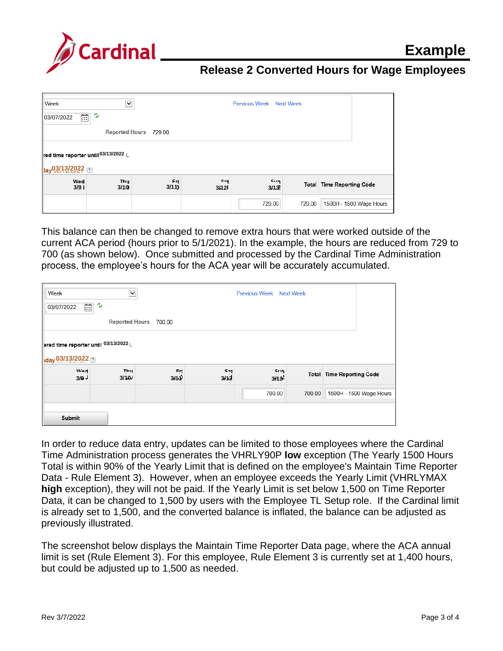

| Week                                                  | $\checkmark$          |             |             | Previous Week Next Week |        |                                  |
|-------------------------------------------------------|-----------------------|-------------|-------------|-------------------------|--------|----------------------------------|
| ್ತ<br>$\widehat{\Xi}$<br>03/07/2022                   |                       |             |             |                         |        |                                  |
|                                                       | Reported Hours 729.00 |             |             |                         |        |                                  |
| red time reporter until 03/13/2022<br>tay03/13/2022 2 |                       |             |             |                         |        |                                  |
| Wed<br>$3/9$ }                                        | Thu<br>3/10           | Fri<br>3/11 | Sat<br>3/12 | Sun<br>3/13             |        | <b>Total Time Reporting Code</b> |
|                                                       |                       |             |             | 729.00                  | 729.00 | 1500H - 1500 Wage Hours          |

This balance can then be changed to remove extra hours that were worked outside of the current ACA period (hours prior to 5/1/2021). In the example, the hours are reduced from 729 to 700 (as shown below). Once submitted and processed by the Cardinal Time Administration process, the employee's hours for the ACA year will be accurately accumulated.

| $\checkmark$<br>Week<br><b>Previous Week Next Week</b><br>يص<br>$\overline{\mathbb{H}}$<br>03/07/2022 |                       |             |             |                        |        |                                  |  |
|-------------------------------------------------------------------------------------------------------|-----------------------|-------------|-------------|------------------------|--------|----------------------------------|--|
|                                                                                                       | <b>Reported Hours</b> | 700.00      |             |                        |        |                                  |  |
| Pred time reporter until 03/13/2022 <br>day 03/13/2022 2                                              |                       |             |             |                        |        |                                  |  |
| <b>Wed</b><br>3/9                                                                                     | Thu<br>3/10           | Fri<br>3/11 | Sat<br>3/12 | <b>Sun</b><br>$3/13^2$ |        | <b>Total Time Reporting Code</b> |  |
|                                                                                                       |                       |             |             | 700.00                 | 700.00 | 1500H - 1500 Wage Hours          |  |
| Submit                                                                                                |                       |             |             |                        |        |                                  |  |

In order to reduce data entry, updates can be limited to those employees where the Cardinal Time Administration process generates the VHRLY90P **low** exception (The Yearly 1500 Hours Total is within 90% of the Yearly Limit that is defined on the employee's Maintain Time Reporter Data - Rule Element 3). However, when an employee exceeds the Yearly Limit (VHRLYMAX **high** exception), they will not be paid. If the Yearly Limit is set below 1,500 on Time Reporter Data, it can be changed to 1,500 by users with the Employee TL Setup role. If the Cardinal limit is already set to 1,500, and the converted balance is inflated, the balance can be adjusted as previously illustrated.

The screenshot below displays the Maintain Time Reporter Data page, where the ACA annual limit is set (Rule Element 3). For this employee, Rule Element 3 is currently set at 1,400 hours, but could be adjusted up to 1,500 as needed.